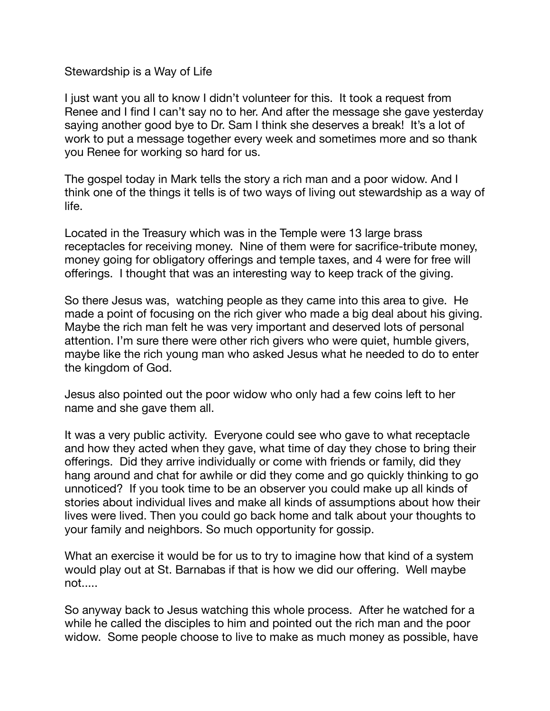Stewardship is a Way of Life

I just want you all to know I didn't volunteer for this. It took a request from Renee and I find I can't say no to her. And after the message she gave yesterday saying another good bye to Dr. Sam I think she deserves a break! It's a lot of work to put a message together every week and sometimes more and so thank you Renee for working so hard for us.

The gospel today in Mark tells the story a rich man and a poor widow. And I think one of the things it tells is of two ways of living out stewardship as a way of life.

Located in the Treasury which was in the Temple were 13 large brass receptacles for receiving money. Nine of them were for sacrifice-tribute money, money going for obligatory offerings and temple taxes, and 4 were for free will offerings. I thought that was an interesting way to keep track of the giving.

So there Jesus was, watching people as they came into this area to give. He made a point of focusing on the rich giver who made a big deal about his giving. Maybe the rich man felt he was very important and deserved lots of personal attention. I'm sure there were other rich givers who were quiet, humble givers, maybe like the rich young man who asked Jesus what he needed to do to enter the kingdom of God.

Jesus also pointed out the poor widow who only had a few coins left to her name and she gave them all.

It was a very public activity. Everyone could see who gave to what receptacle and how they acted when they gave, what time of day they chose to bring their offerings. Did they arrive individually or come with friends or family, did they hang around and chat for awhile or did they come and go quickly thinking to go unnoticed? If you took time to be an observer you could make up all kinds of stories about individual lives and make all kinds of assumptions about how their lives were lived. Then you could go back home and talk about your thoughts to your family and neighbors. So much opportunity for gossip.

What an exercise it would be for us to try to imagine how that kind of a system would play out at St. Barnabas if that is how we did our offering. Well maybe not.....

So anyway back to Jesus watching this whole process. After he watched for a while he called the disciples to him and pointed out the rich man and the poor widow. Some people choose to live to make as much money as possible, have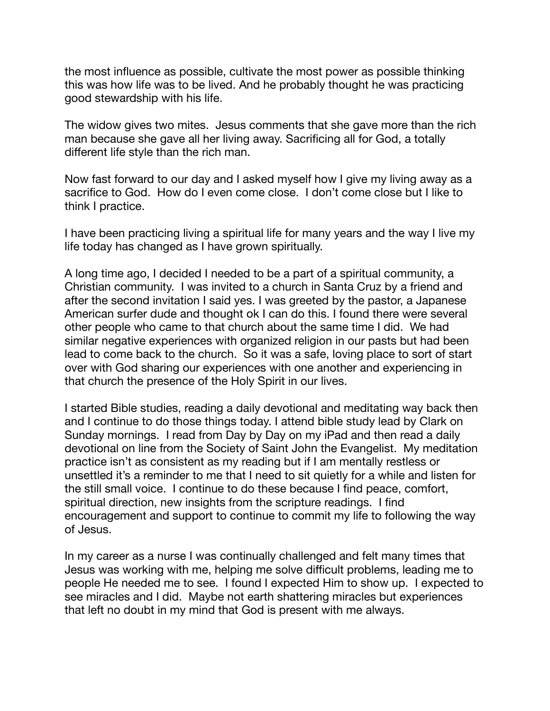the most influence as possible, cultivate the most power as possible thinking this was how life was to be lived. And he probably thought he was practicing good stewardship with his life.

The widow gives two mites. Jesus comments that she gave more than the rich man because she gave all her living away. Sacrificing all for God, a totally different life style than the rich man.

Now fast forward to our day and I asked myself how I give my living away as a sacrifice to God. How do I even come close. I don't come close but I like to think I practice.

I have been practicing living a spiritual life for many years and the way I live my life today has changed as I have grown spiritually.

A long time ago, I decided I needed to be a part of a spiritual community, a Christian community. I was invited to a church in Santa Cruz by a friend and after the second invitation I said yes. I was greeted by the pastor, a Japanese American surfer dude and thought ok I can do this. I found there were several other people who came to that church about the same time I did. We had similar negative experiences with organized religion in our pasts but had been lead to come back to the church. So it was a safe, loving place to sort of start over with God sharing our experiences with one another and experiencing in that church the presence of the Holy Spirit in our lives.

I started Bible studies, reading a daily devotional and meditating way back then and I continue to do those things today. I attend bible study lead by Clark on Sunday mornings. I read from Day by Day on my iPad and then read a daily devotional on line from the Society of Saint John the Evangelist. My meditation practice isn't as consistent as my reading but if I am mentally restless or unsettled it's a reminder to me that I need to sit quietly for a while and listen for the still small voice. I continue to do these because I find peace, comfort, spiritual direction, new insights from the scripture readings. I find encouragement and support to continue to commit my life to following the way of Jesus.

In my career as a nurse I was continually challenged and felt many times that Jesus was working with me, helping me solve difficult problems, leading me to people He needed me to see. I found I expected Him to show up. I expected to see miracles and I did. Maybe not earth shattering miracles but experiences that left no doubt in my mind that God is present with me always.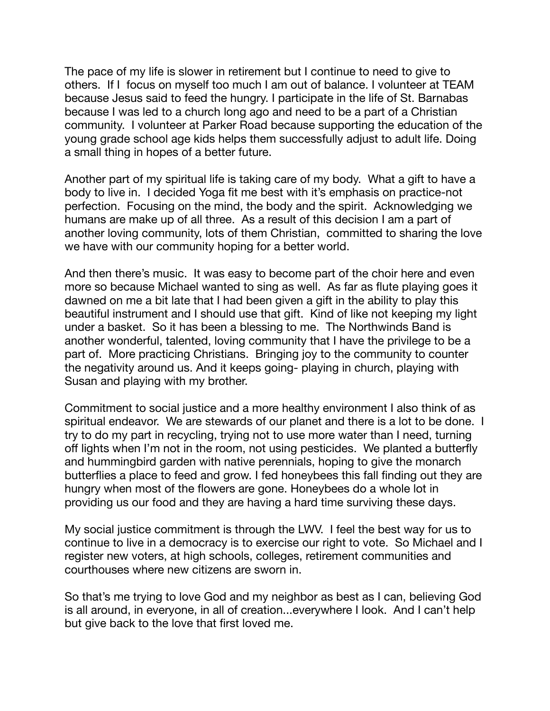The pace of my life is slower in retirement but I continue to need to give to others. If I focus on myself too much I am out of balance. I volunteer at TEAM because Jesus said to feed the hungry. I participate in the life of St. Barnabas because I was led to a church long ago and need to be a part of a Christian community. I volunteer at Parker Road because supporting the education of the young grade school age kids helps them successfully adjust to adult life. Doing a small thing in hopes of a better future.

Another part of my spiritual life is taking care of my body. What a gift to have a body to live in. I decided Yoga fit me best with it's emphasis on practice-not perfection. Focusing on the mind, the body and the spirit. Acknowledging we humans are make up of all three. As a result of this decision I am a part of another loving community, lots of them Christian, committed to sharing the love we have with our community hoping for a better world.

And then there's music. It was easy to become part of the choir here and even more so because Michael wanted to sing as well. As far as flute playing goes it dawned on me a bit late that I had been given a gift in the ability to play this beautiful instrument and I should use that gift. Kind of like not keeping my light under a basket. So it has been a blessing to me. The Northwinds Band is another wonderful, talented, loving community that I have the privilege to be a part of. More practicing Christians. Bringing joy to the community to counter the negativity around us. And it keeps going- playing in church, playing with Susan and playing with my brother.

Commitment to social justice and a more healthy environment I also think of as spiritual endeavor. We are stewards of our planet and there is a lot to be done. I try to do my part in recycling, trying not to use more water than I need, turning off lights when I'm not in the room, not using pesticides. We planted a butterfly and hummingbird garden with native perennials, hoping to give the monarch butterflies a place to feed and grow. I fed honeybees this fall finding out they are hungry when most of the flowers are gone. Honeybees do a whole lot in providing us our food and they are having a hard time surviving these days.

My social justice commitment is through the LWV. I feel the best way for us to continue to live in a democracy is to exercise our right to vote. So Michael and I register new voters, at high schools, colleges, retirement communities and courthouses where new citizens are sworn in.

So that's me trying to love God and my neighbor as best as I can, believing God is all around, in everyone, in all of creation...everywhere I look. And I can't help but give back to the love that first loved me.